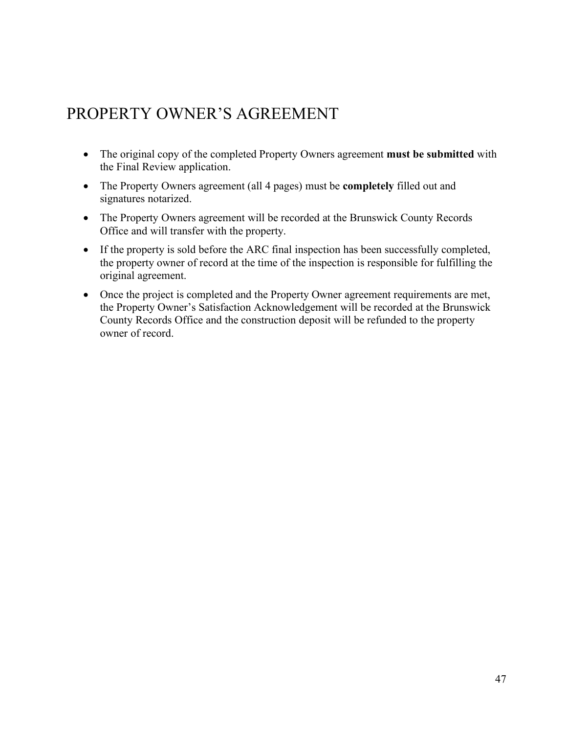# PROPERTY OWNER'S AGREEMENT

- The original copy of the completed Property Owners agreement **must be submitted** with the Final Review application.
- The Property Owners agreement (all 4 pages) must be **completely** filled out and signatures notarized.
- The Property Owners agreement will be recorded at the Brunswick County Records Office and will transfer with the property.
- If the property is sold before the ARC final inspection has been successfully completed, the property owner of record at the time of the inspection is responsible for fulfilling the original agreement.
- Once the project is completed and the Property Owner agreement requirements are met, the Property Owner's Satisfaction Acknowledgement will be recorded at the Brunswick County Records Office and the construction deposit will be refunded to the property owner of record.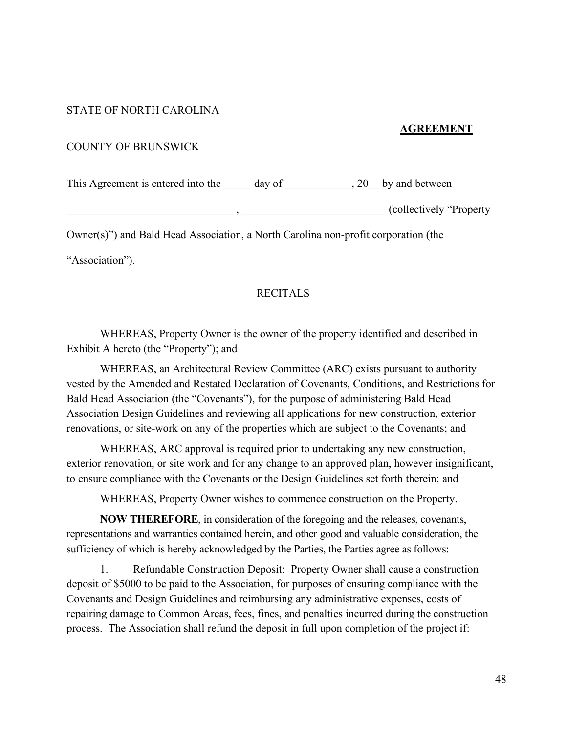#### STATE OF NORTH CAROLINA

#### **AGREEMENT**

#### COUNTY OF BRUNSWICK

This Agreement is entered into the day of the  $\qquad \qquad$ , 20 by and between \_\_\_\_\_\_\_\_\_\_\_\_\_\_\_\_\_\_\_\_\_\_\_\_\_\_\_\_\_\_ , \_\_\_\_\_\_\_\_\_\_\_\_\_\_\_\_\_\_\_\_\_\_\_\_\_\_ (collectively "Property

Owner(s)") and Bald Head Association, a North Carolina non-profit corporation (the

"Association").

### **RECITALS**

WHEREAS, Property Owner is the owner of the property identified and described in Exhibit A hereto (the "Property"); and

WHEREAS, an Architectural Review Committee (ARC) exists pursuant to authority vested by the Amended and Restated Declaration of Covenants, Conditions, and Restrictions for Bald Head Association (the "Covenants"), for the purpose of administering Bald Head Association Design Guidelines and reviewing all applications for new construction, exterior renovations, or site-work on any of the properties which are subject to the Covenants; and

WHEREAS, ARC approval is required prior to undertaking any new construction, exterior renovation, or site work and for any change to an approved plan, however insignificant, to ensure compliance with the Covenants or the Design Guidelines set forth therein; and

WHEREAS, Property Owner wishes to commence construction on the Property.

**NOW THEREFORE**, in consideration of the foregoing and the releases, covenants, representations and warranties contained herein, and other good and valuable consideration, the sufficiency of which is hereby acknowledged by the Parties, the Parties agree as follows:

1. Refundable Construction Deposit: Property Owner shall cause a construction deposit of \$5000 to be paid to the Association, for purposes of ensuring compliance with the Covenants and Design Guidelines and reimbursing any administrative expenses, costs of repairing damage to Common Areas, fees, fines, and penalties incurred during the construction process. The Association shall refund the deposit in full upon completion of the project if: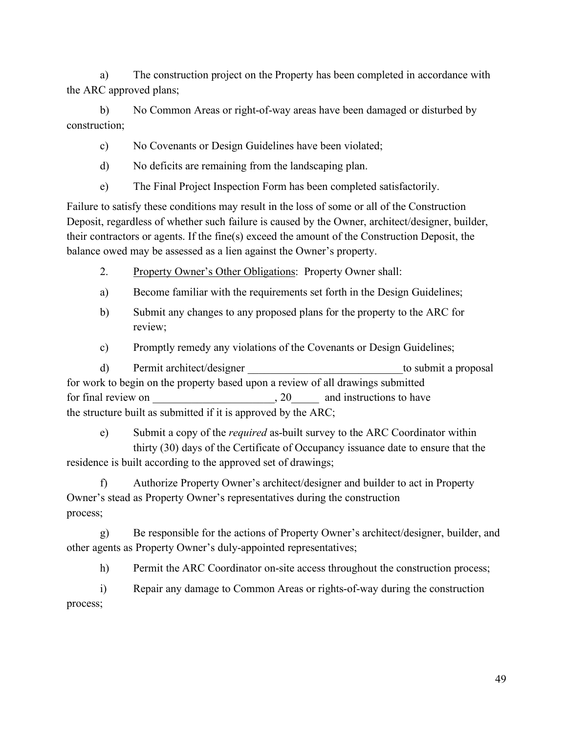a) The construction project on the Property has been completed in accordance with the ARC approved plans;

b) No Common Areas or right-of-way areas have been damaged or disturbed by construction;

c) No Covenants or Design Guidelines have been violated;

d) No deficits are remaining from the landscaping plan.

e) The Final Project Inspection Form has been completed satisfactorily.

Failure to satisfy these conditions may result in the loss of some or all of the Construction Deposit, regardless of whether such failure is caused by the Owner, architect/designer, builder, their contractors or agents. If the fine(s) exceed the amount of the Construction Deposit, the balance owed may be assessed as a lien against the Owner's property.

2. Property Owner's Other Obligations: Property Owner shall:

- a) Become familiar with the requirements set forth in the Design Guidelines;
- b) Submit any changes to any proposed plans for the property to the ARC for review;
- c) Promptly remedy any violations of the Covenants or Design Guidelines;

d) Permit architect/designer and the submit a proposal for work to begin on the property based upon a review of all drawings submitted for final review on  $\qquad \qquad , 20$  and instructions to have the structure built as submitted if it is approved by the ARC;

e) Submit a copy of the *required* as-built survey to the ARC Coordinator within thirty (30) days of the Certificate of Occupancy issuance date to ensure that the residence is built according to the approved set of drawings;

f) Authorize Property Owner's architect/designer and builder to act in Property Owner's stead as Property Owner's representatives during the construction process;

g) Be responsible for the actions of Property Owner's architect/designer, builder, and other agents as Property Owner's duly-appointed representatives;

h) Permit the ARC Coordinator on-site access throughout the construction process;

 i) Repair any damage to Common Areas or rights-of-way during the construction process;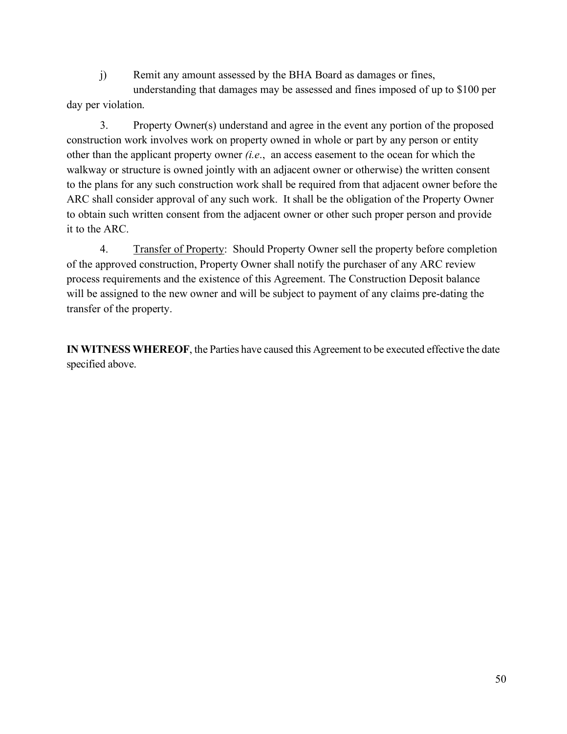j) Remit any amount assessed by the BHA Board as damages or fines,

understanding that damages may be assessed and fines imposed of up to \$100 per day per violation.

3. Property Owner(s) understand and agree in the event any portion of the proposed construction work involves work on property owned in whole or part by any person or entity other than the applicant property owner *(i.e*., an access easement to the ocean for which the walkway or structure is owned jointly with an adjacent owner or otherwise) the written consent to the plans for any such construction work shall be required from that adjacent owner before the ARC shall consider approval of any such work. It shall be the obligation of the Property Owner to obtain such written consent from the adjacent owner or other such proper person and provide it to the ARC.

4. Transfer of Property: Should Property Owner sell the property before completion of the approved construction, Property Owner shall notify the purchaser of any ARC review process requirements and the existence of this Agreement. The Construction Deposit balance will be assigned to the new owner and will be subject to payment of any claims pre-dating the transfer of the property.

**IN WITNESS WHEREOF**, the Parties have caused this Agreement to be executed effective the date specified above.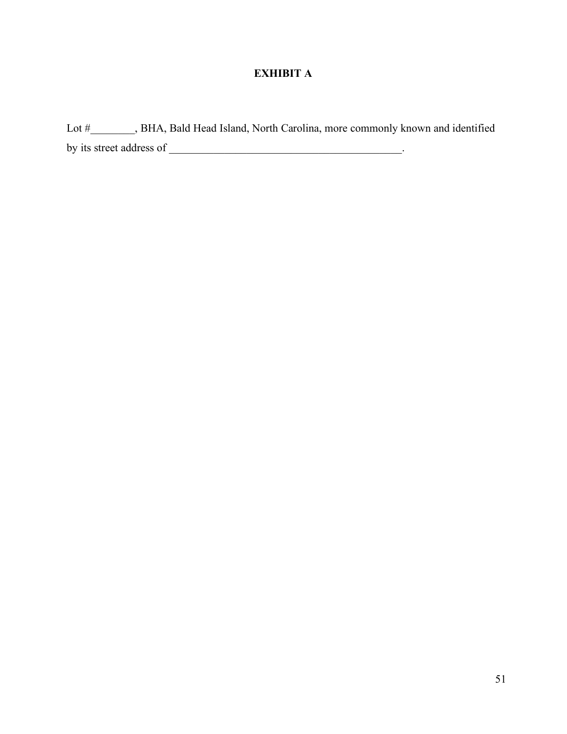## **EXHIBIT A**

Lot #\_\_\_\_\_\_\_\_, BHA, Bald Head Island, North Carolina, more commonly known and identified by its street address of \_\_\_\_\_\_\_\_\_\_\_\_\_\_\_\_\_\_\_\_\_\_\_\_\_\_\_\_\_\_\_\_\_\_\_\_\_\_\_\_\_\_.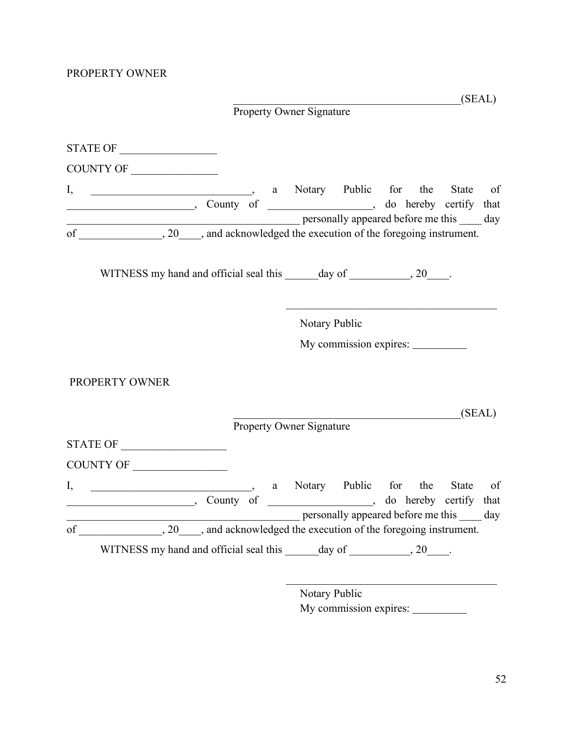PROPERTY OWNER

|                                                                                                                                                       |                                                                            |  |                                        |  | (SEAL) |        |
|-------------------------------------------------------------------------------------------------------------------------------------------------------|----------------------------------------------------------------------------|--|----------------------------------------|--|--------|--------|
|                                                                                                                                                       |                                                                            |  | <b>Property Owner Signature</b>        |  |        |        |
| $\begin{tabular}{ c c } \hline \texttt{STATE OF} \end{tabular} \begin{tabular}{ c c c } \hline \multicolumn{3}{ c }{\textbf{STATE OF}} \end{tabular}$ |                                                                            |  |                                        |  |        |        |
| COUNTY OF                                                                                                                                             |                                                                            |  |                                        |  |        |        |
| a Notary Public for the State of<br>Ι,                                                                                                                |                                                                            |  |                                        |  |        |        |
|                                                                                                                                                       |                                                                            |  |                                        |  |        |        |
| personally appeared before me this _____ day                                                                                                          |                                                                            |  |                                        |  |        |        |
|                                                                                                                                                       |                                                                            |  |                                        |  |        |        |
|                                                                                                                                                       | WITNESS my hand and official seal this ______ day of ____________, 20____. |  |                                        |  |        |        |
|                                                                                                                                                       |                                                                            |  |                                        |  |        |        |
|                                                                                                                                                       |                                                                            |  | Notary Public                          |  |        |        |
|                                                                                                                                                       |                                                                            |  |                                        |  |        |        |
|                                                                                                                                                       |                                                                            |  |                                        |  |        |        |
| PROPERTY OWNER                                                                                                                                        |                                                                            |  |                                        |  |        |        |
|                                                                                                                                                       |                                                                            |  |                                        |  |        |        |
|                                                                                                                                                       |                                                                            |  |                                        |  |        | (SEAL) |
|                                                                                                                                                       |                                                                            |  | Property Owner Signature               |  |        |        |
| $\begin{tabular}{ c c } \hline \texttt{STATE OF} \end{tabular} \begin{tabular}{ c c c } \hline \multicolumn{3}{ c }{\textbf{STATE OF}} \end{tabular}$ |                                                                            |  |                                        |  |        |        |
| COUNTY OF                                                                                                                                             |                                                                            |  |                                        |  |        |        |
| a Notary Public for the State of<br>I,                                                                                                                |                                                                            |  |                                        |  |        |        |
|                                                                                                                                                       |                                                                            |  |                                        |  |        |        |
|                                                                                                                                                       |                                                                            |  | personally appeared before me this day |  |        |        |
|                                                                                                                                                       |                                                                            |  |                                        |  |        |        |
|                                                                                                                                                       |                                                                            |  |                                        |  |        |        |

 \_\_\_\_\_\_\_\_\_\_\_\_\_\_\_\_\_\_\_\_\_\_\_\_\_\_\_\_\_\_\_\_\_\_\_\_\_\_ Notary Public My commission expires: